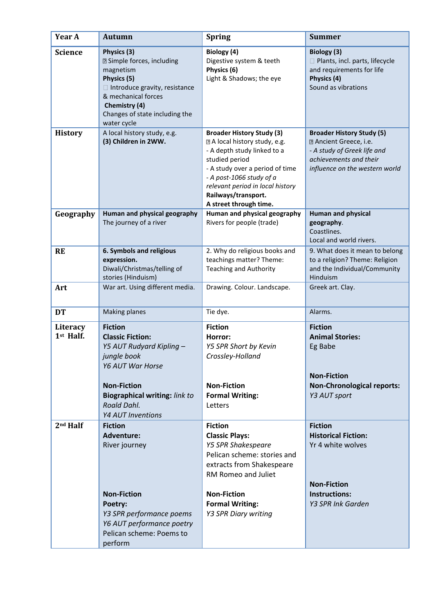| Year A                | <b>Autumn</b>                                                                                                                                                                                                     | <b>Spring</b>                                                                                                                                                                                                                                                          | <b>Summer</b>                                                                                                                                                |
|-----------------------|-------------------------------------------------------------------------------------------------------------------------------------------------------------------------------------------------------------------|------------------------------------------------------------------------------------------------------------------------------------------------------------------------------------------------------------------------------------------------------------------------|--------------------------------------------------------------------------------------------------------------------------------------------------------------|
| <b>Science</b>        | Physics (3)<br><b>Z</b> Simple forces, including<br>magnetism<br>Physics (5)<br>□ Introduce gravity, resistance<br>& mechanical forces<br>Chemistry (4)<br>Changes of state including the<br>water cycle          | Biology (4)<br>Digestive system & teeth<br>Physics (6)<br>Light & Shadows; the eye                                                                                                                                                                                     | Biology (3)<br>Plants, incl. parts, lifecycle<br>and requirements for life<br>Physics (4)<br>Sound as vibrations                                             |
| <b>History</b>        | A local history study, e.g.<br>(3) Children in 2WW.                                                                                                                                                               | <b>Broader History Study (3)</b><br>I A local history study, e.g.<br>- A depth study linked to a<br>studied period<br>- A study over a period of time<br>- A post-1066 study of a<br>relevant period in local history<br>Railways/transport.<br>A street through time. | <b>Broader History Study (5)</b><br><b>D</b> Ancient Greece, i.e.<br>- A study of Greek life and<br>achievements and their<br>influence on the western world |
| Geography             | Human and physical geography<br>The journey of a river                                                                                                                                                            | Human and physical geography<br>Rivers for people (trade)                                                                                                                                                                                                              | <b>Human and physical</b><br>geography.<br>Coastlines.<br>Local and world rivers.                                                                            |
| <b>RE</b>             | 6. Symbols and religious<br>expression.<br>Diwali/Christmas/telling of<br>stories (Hinduism)                                                                                                                      | 2. Why do religious books and<br>teachings matter? Theme:<br><b>Teaching and Authority</b>                                                                                                                                                                             | 9. What does it mean to belong<br>to a religion? Theme: Religion<br>and the Individual/Community<br>Hinduism                                                 |
| Art                   | War art. Using different media.                                                                                                                                                                                   | Drawing. Colour. Landscape.                                                                                                                                                                                                                                            | Greek art. Clay.                                                                                                                                             |
| <b>DT</b>             | <b>Making planes</b>                                                                                                                                                                                              | Tie dye.                                                                                                                                                                                                                                                               | Alarms.                                                                                                                                                      |
| Literacy<br>1st Half. | <b>Fiction</b><br><b>Classic Fiction:</b><br>Y5 AUT Rudyard Kipling -<br>jungle book<br><b>Y6 AUT War Horse</b><br><b>Non-Fiction</b><br><b>Biographical writing: link to</b><br>Roald Dahl.<br>Y4 AUT Inventions | <b>Fiction</b><br>Horror:<br>Y5 SPR Short by Kevin<br>Crossley-Holland<br><b>Non-Fiction</b><br><b>Formal Writing:</b><br>Letters                                                                                                                                      | <b>Fiction</b><br><b>Animal Stories:</b><br>Eg Babe<br><b>Non-Fiction</b><br><b>Non-Chronological reports:</b><br>Y3 AUT sport                               |
| 2nd Half              | <b>Fiction</b><br><b>Adventure:</b><br>River journey<br><b>Non-Fiction</b><br>Poetry:<br>Y3 SPR performance poems<br>Y6 AUT performance poetry<br>Pelican scheme: Poems to<br>perform                             | <b>Fiction</b><br><b>Classic Plays:</b><br><b>Y5 SPR Shakespeare</b><br>Pelican scheme: stories and<br>extracts from Shakespeare<br>RM Romeo and Juliet<br><b>Non-Fiction</b><br><b>Formal Writing:</b><br>Y3 SPR Diary writing                                        | <b>Fiction</b><br><b>Historical Fiction:</b><br>Yr 4 white wolves<br><b>Non-Fiction</b><br>Instructions:<br>Y3 SPR Ink Garden                                |